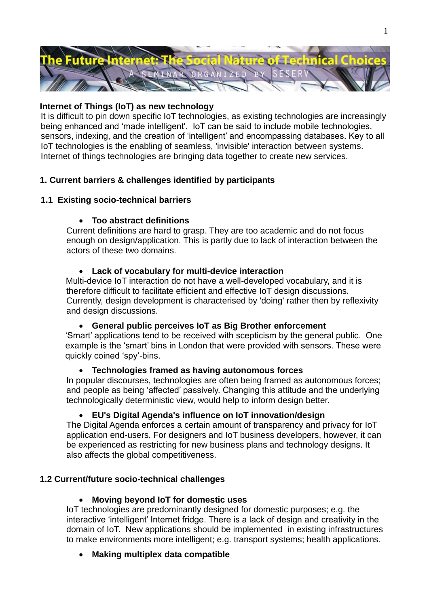

## **Internet of Things (IoT) as new technology**

It is difficult to pin down specific IoT technologies, as existing technologies are increasingly being enhanced and 'made intelligent'. IoT can be said to include mobile technologies, sensors, indexing, and the creation of 'intelligent' and encompassing databases. Key to all IoT technologies is the enabling of seamless, 'invisible' interaction between systems. Internet of things technologies are bringing data together to create new services.

## **1. Current barriers & challenges identified by participants**

## **1.1 Existing socio-technical barriers**

### **Too abstract definitions**

Current definitions are hard to grasp. They are too academic and do not focus enough on design/application. This is partly due to lack of interaction between the actors of these two domains.

### **Lack of vocabulary for multi-device interaction**

Multi-device IoT interaction do not have a well-developed vocabulary, and it is therefore difficult to facilitate efficient and effective IoT design discussions. Currently, design development is characterised by 'doing' rather then by reflexivity and design discussions.

#### **General public perceives IoT as Big Brother enforcement**

'Smart' applications tend to be received with scepticism by the general public. One example is the 'smart' bins in London that were provided with sensors. These were quickly coined 'spy'-bins.

#### **Technologies framed as having autonomous forces**

In popular discourses, technologies are often being framed as autonomous forces; and people as being 'affected' passively. Changing this attitude and the underlying technologically deterministic view, would help to inform design better.

## **EU's Digital Agenda's influence on IoT innovation/design**

The Digital Agenda enforces a certain amount of transparency and privacy for IoT application end-users. For designers and IoT business developers, however, it can be experienced as restricting for new business plans and technology designs. It also affects the global competitiveness.

## **1.2 Current/future socio-technical challenges**

## **Moving beyond IoT for domestic uses**

IoT technologies are predominantly designed for domestic purposes; e.g. the interactive 'intelligent' Internet fridge. There is a lack of design and creativity in the domain of IoT. New applications should be implemented in existing infrastructures to make environments more intelligent; e.g. transport systems; health applications.

**Making multiplex data compatible**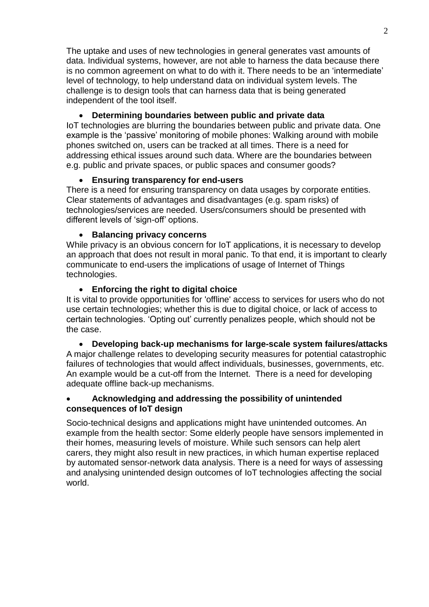The uptake and uses of new technologies in general generates vast amounts of data. Individual systems, however, are not able to harness the data because there is no common agreement on what to do with it. There needs to be an 'intermediate' level of technology, to help understand data on individual system levels. The challenge is to design tools that can harness data that is being generated independent of the tool itself.

# **Determining boundaries between public and private data**

IoT technologies are blurring the boundaries between public and private data. One example is the 'passive' monitoring of mobile phones: Walking around with mobile phones switched on, users can be tracked at all times. There is a need for addressing ethical issues around such data. Where are the boundaries between e.g. public and private spaces, or public spaces and consumer goods?

## **Ensuring transparency for end-users**

There is a need for ensuring transparency on data usages by corporate entities. Clear statements of advantages and disadvantages (e.g. spam risks) of technologies/services are needed. Users/consumers should be presented with different levels of 'sign-off' options.

### **Balancing privacy concerns**

While privacy is an obvious concern for IoT applications, it is necessary to develop an approach that does not result in moral panic. To that end, it is important to clearly communicate to end-users the implications of usage of Internet of Things technologies.

### **Enforcing the right to digital choice**

It is vital to provide opportunities for 'offline' access to services for users who do not use certain technologies; whether this is due to digital choice, or lack of access to certain technologies. 'Opting out' currently penalizes people, which should not be the case.

 **Developing back-up mechanisms for large-scale system failures/attacks** A major challenge relates to developing security measures for potential catastrophic failures of technologies that would affect individuals, businesses, governments, etc. An example would be a cut-off from the Internet. There is a need for developing adequate offline back-up mechanisms.

### **Acknowledging and addressing the possibility of unintended consequences of IoT design**

Socio-technical designs and applications might have unintended outcomes. An example from the health sector: Some elderly people have sensors implemented in their homes, measuring levels of moisture. While such sensors can help alert carers, they might also result in new practices, in which human expertise replaced by automated sensor-network data analysis. There is a need for ways of assessing and analysing unintended design outcomes of IoT technologies affecting the social world.